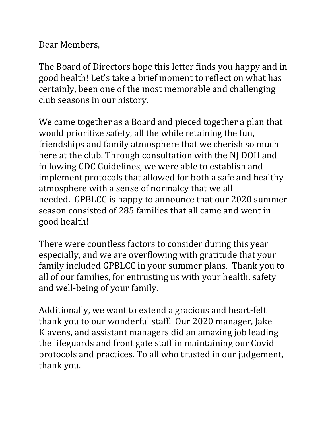Dear Members,

The Board of Directors hope this letter finds you happy and in good health! Let's take a brief moment to reflect on what has certainly, been one of the most memorable and challenging club seasons in our history.

We came together as a Board and pieced together a plan that would prioritize safety, all the while retaining the fun, friendships and family atmosphere that we cherish so much here at the club. Through consultation with the NJ DOH and following CDC Guidelines, we were able to establish and implement protocols that allowed for both a safe and healthy atmosphere with a sense of normalcy that we all needed. GPBLCC is happy to announce that our 2020 summer season consisted of 285 families that all came and went in good health!

There were countless factors to consider during this year especially, and we are overflowing with gratitude that your family included GPBLCC in your summer plans. Thank you to all of our families, for entrusting us with your health, safety and well-being of your family.

Additionally, we want to extend a gracious and heart-felt thank you to our wonderful staff. Our 2020 manager, Jake Klavens, and assistant managers did an amazing job leading the lifeguards and front gate staff in maintaining our Covid protocols and practices. To all who trusted in our judgement, thank you.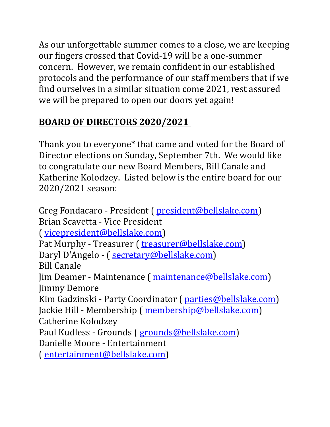As our unforgettable summer comes to a close, we are keeping our fingers crossed that Covid-19 will be a one-summer concern. However, we remain confident in our established protocols and the performance of our staff members that if we find ourselves in a similar situation come 2021, rest assured we will be prepared to open our doors yet again!

# **BOARD OF DIRECTORS 2020/2021**

Thank you to everyone\* that came and voted for the Board of Director elections on Sunday, September 7th. We would like to congratulate our new Board Members, Bill Canale and Katherine Kolodzey. Listed below is the entire board for our 2020/2021 season:

Greg Fondacaro - President ( president@bellslake.com) Brian Scavetta - Vice President ( vicepresident@bellslake.com) Pat Murphy - Treasurer (treasurer@bellslake.com) Daryl D'Angelo - ( secretary@bellslake.com) Bill Canale Jim Deamer - Maintenance ( maintenance@bellslake.com) Jimmy Demore Kim Gadzinski - Party Coordinator ( parties@bellslake.com) Jackie Hill - Membership (membership@bellslake.com) Catherine Kolodzey Paul Kudless - Grounds ( grounds@bellslake.com) Danielle Moore - Entertainment ( entertainment@bellslake.com)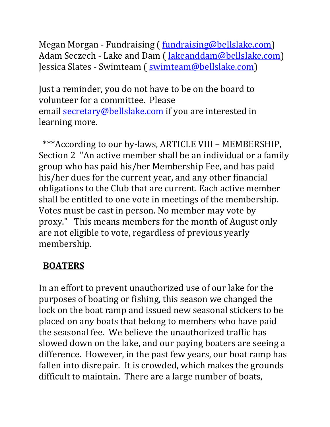Megan Morgan - Fundraising ( fundraising@bellslake.com) Adam Seczech - Lake and Dam (*lakeanddam@bellslake.com*) Jessica Slates - Swimteam ( swimteam@bellslake.com)

Just a reminder, you do not have to be on the board to volunteer for a committee. Please email secretary@bellslake.com if you are interested in learning more.

 \*\*\*According to our by-laws, ARTICLE VIII – MEMBERSHIP, Section 2 "An active member shall be an individual or a family group who has paid his/her Membership Fee, and has paid his/her dues for the current year, and any other financial obligations to the Club that are current. Each active member shall be entitled to one vote in meetings of the membership. Votes must be cast in person. No member may vote by proxy." This means members for the month of August only are not eligible to vote, regardless of previous yearly membership.

### **BOATERS**

In an effort to prevent unauthorized use of our lake for the purposes of boating or fishing, this season we changed the lock on the boat ramp and issued new seasonal stickers to be placed on any boats that belong to members who have paid the seasonal fee. We believe the unauthorized traffic has slowed down on the lake, and our paying boaters are seeing a difference. However, in the past few years, our boat ramp has fallen into disrepair. It is crowded, which makes the grounds difficult to maintain. There are a large number of boats,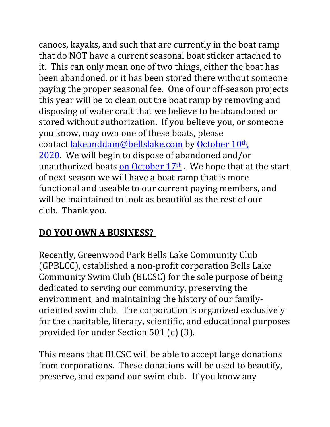canoes, kayaks, and such that are currently in the boat ramp that do NOT have a current seasonal boat sticker attached to it. This can only mean one of two things, either the boat has been abandoned, or it has been stored there without someone paying the proper seasonal fee. One of our off-season projects this year will be to clean out the boat ramp by removing and disposing of water craft that we believe to be abandoned or stored without authorization. If you believe you, or someone you know, may own one of these boats, please contact lakeanddam@bellslake.com by October 10th, 2020. We will begin to dispose of abandoned and/or unauthorized boats on October  $17<sup>th</sup>$ . We hope that at the start of next season we will have a boat ramp that is more functional and useable to our current paying members, and will be maintained to look as beautiful as the rest of our club. Thank you.

### **DO YOU OWN A BUSINESS?**

Recently, Greenwood Park Bells Lake Community Club (GPBLCC), established a non-profit corporation Bells Lake Community Swim Club (BLCSC) for the sole purpose of being dedicated to serving our community, preserving the environment, and maintaining the history of our familyoriented swim club. The corporation is organized exclusively for the charitable, literary, scientific, and educational purposes provided for under Section 501 (c) (3).

This means that BLCSC will be able to accept large donations from corporations. These donations will be used to beautify, preserve, and expand our swim club. If you know any